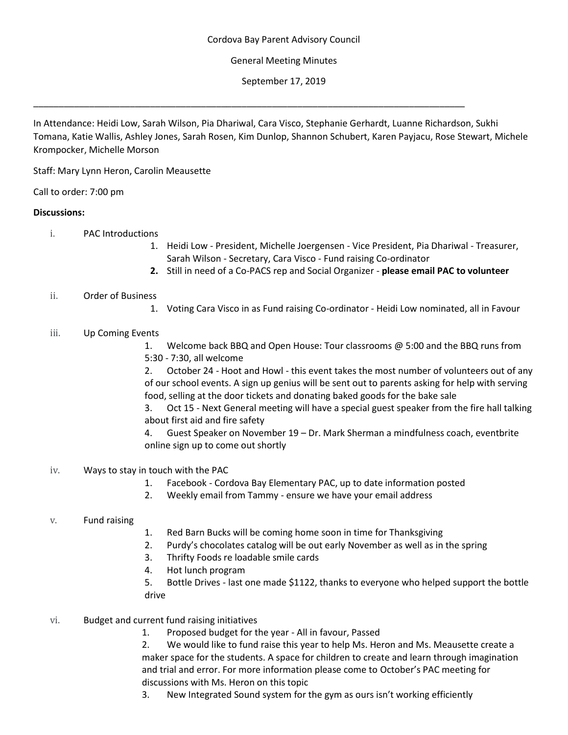# General Meeting Minutes

September 17, 2019

In Attendance: Heidi Low, Sarah Wilson, Pia Dhariwal, Cara Visco, Stephanie Gerhardt, Luanne Richardson, Sukhi Tomana, Katie Wallis, Ashley Jones, Sarah Rosen, Kim Dunlop, Shannon Schubert, Karen Payjacu, Rose Stewart, Michele Krompocker, Michelle Morson

\_\_\_\_\_\_\_\_\_\_\_\_\_\_\_\_\_\_\_\_\_\_\_\_\_\_\_\_\_\_\_\_\_\_\_\_\_\_\_\_\_\_\_\_\_\_\_\_\_\_\_\_\_\_\_\_\_\_\_\_\_\_\_\_\_\_\_\_\_\_\_\_\_\_\_\_\_\_\_\_\_\_\_\_\_

Staff: Mary Lynn Heron, Carolin Meausette

Call to order: 7:00 pm

## **Discussions:**

- i. PAC Introductions
	- 1. Heidi Low President, Michelle Joergensen Vice President, Pia Dhariwal Treasurer, Sarah Wilson - Secretary, Cara Visco - Fund raising Co-ordinator
	- **2.** Still in need of a Co-PACS rep and Social Organizer **please email PAC to volunteer**

## ii. Order of Business

1. Voting Cara Visco in as Fund raising Co-ordinator - Heidi Low nominated, all in Favour

## iii. Up Coming Events

1. Welcome back BBQ and Open House: Tour classrooms @ 5:00 and the BBQ runs from 5:30 - 7:30, all welcome

2. October 24 - Hoot and Howl - this event takes the most number of volunteers out of any of our school events. A sign up genius will be sent out to parents asking for help with serving food, selling at the door tickets and donating baked goods for the bake sale

3. Oct 15 - Next General meeting will have a special guest speaker from the fire hall talking about first aid and fire safety

4. Guest Speaker on November 19 – Dr. Mark Sherman a mindfulness coach, eventbrite online sign up to come out shortly

## iv. Ways to stay in touch with the PAC

- 1. Facebook Cordova Bay Elementary PAC, up to date information posted
- 2. Weekly email from Tammy ensure we have your email address

## v. Fund raising

- 1. Red Barn Bucks will be coming home soon in time for Thanksgiving
- 2. Purdy's chocolates catalog will be out early November as well as in the spring
- 3. Thrifty Foods re loadable smile cards
- 4. Hot lunch program

5. Bottle Drives - last one made \$1122, thanks to everyone who helped support the bottle drive

- vi. Budget and current fund raising initiatives
	- 1. Proposed budget for the year All in favour, Passed

2. We would like to fund raise this year to help Ms. Heron and Ms. Meausette create a maker space for the students. A space for children to create and learn through imagination and trial and error. For more information please come to October's PAC meeting for discussions with Ms. Heron on this topic

3. New Integrated Sound system for the gym as ours isn't working efficiently